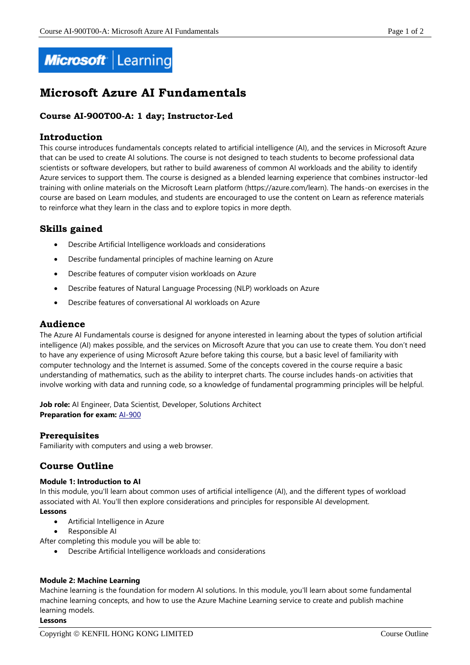

# **Microsoft Azure AI Fundamentals**

# **Course AI-900T00-A: 1 day; Instructor-Led**

## **Introduction**

This course introduces fundamentals concepts related to artificial intelligence (AI), and the services in Microsoft Azure that can be used to create AI solutions. The course is not designed to teach students to become professional data scientists or software developers, but rather to build awareness of common AI workloads and the ability to identify Azure services to support them. The course is designed as a blended learning experience that combines instructor-led training with online materials on the Microsoft Learn platform (https://azure.com/learn). The hands-on exercises in the course are based on Learn modules, and students are encouraged to use the content on Learn as reference materials to reinforce what they learn in the class and to explore topics in more depth.

# **Skills gained**

- Describe Artificial Intelligence workloads and considerations
- Describe fundamental principles of machine learning on Azure
- Describe features of computer vision workloads on Azure
- Describe features of Natural Language Processing (NLP) workloads on Azure
- Describe features of conversational AI workloads on Azure

# **Audience**

The Azure AI Fundamentals course is designed for anyone interested in learning about the types of solution artificial intelligence (AI) makes possible, and the services on Microsoft Azure that you can use to create them. You don't need to have any experience of using Microsoft Azure before taking this course, but a basic level of familiarity with computer technology and the Internet is assumed. Some of the concepts covered in the course require a basic understanding of mathematics, such as the ability to interpret charts. The course includes hands-on activities that involve working with data and running code, so a knowledge of fundamental programming principles will be helpful.

Job role: AI Engineer, Data Scientist, Developer, Solutions Architect **Preparation for exam:** [AI-900](https://docs.microsoft.com/en-us/learn/certifications/exams/ai-900)

## **Prerequisites**

Familiarity with computers and using a web browser.

# **Course Outline**

#### **Module 1: Introduction to AI**

In this module, you'll learn about common uses of artificial intelligence (AI), and the different types of workload associated with AI. You'll then explore considerations and principles for responsible AI development. **Lessons**

- Artificial Intelligence in Azure
- Responsible AI

After completing this module you will be able to:

Describe Artificial Intelligence workloads and considerations

#### **Module 2: Machine Learning**

Machine learning is the foundation for modern AI solutions. In this module, you'll learn about some fundamental machine learning concepts, and how to use the Azure Machine Learning service to create and publish machine learning models.

#### **Lessons**